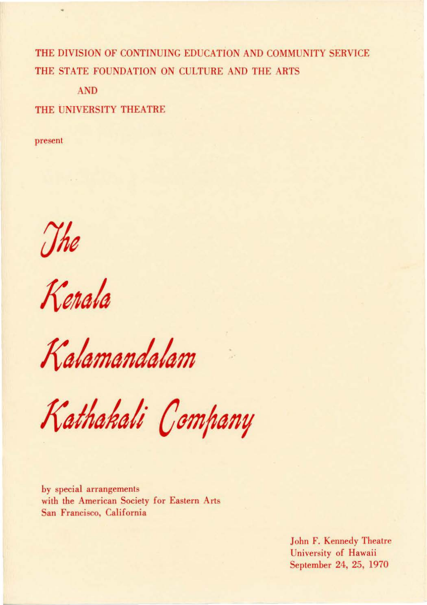THE DIVISION OF CONTINUING EDUCATION AND COMMUNITY SERVICE THE STATE FOUNDATION ON CULTURE AND THE ARTS

AND

THE UNIVERSITY THEATRE

present

The<br>Kerala

Kalamandalam

Kathakali Company

by special arrangements with the American Society for Eastern Arts San Francisco, California

> John F. Kennedy Theatre University of Hawaii September 24, 25, 1970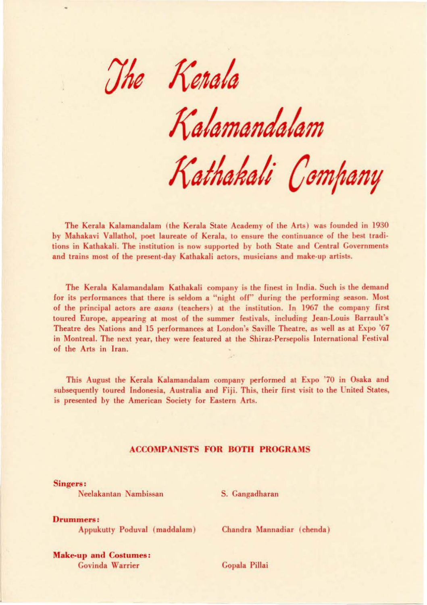The Kerala

*/(ala mania/am* 

*/(aiAahali Company* 

The Kerala Kalamandalam (the Kerala State Academy of the Arts) was founded in 1930 by Mahakavi Vallathol, poet laureate of Kerala, to ensure the continuance of the best traditions in Kathakali. The institution is now supported by both State and Central Governments and trains most of the present-day Kathakali actors, musicians and make-up artists.

The Kerala Kalamandalam Kathakali company is the finest in India. Such is the demand for its performances that there is seldom a "night off" during the performing season. Most of the principal actors are *asans* (teachers) at the institution. In 1967 the company first toured Europe, appearing at most of the summer festivals, including Jean-Louis Barrault's Theatre des Nations and 15 performances at London's Saville Theatre, as well as at Expo '67 in Montreal. The next year, they were featured at the Shiraz-Persepolis International Festival of the Arts in Iran.

This August the Kerala Kalamandalam company performed at Expo '70 in Osaka and subsequently toured Indonesia, Australia and Fiji. This, their first visit to the United States, is presented *by* the American Society for Eastern Arts.

### ACCOMPANISTS FOR BOTH PROGRAMS

Singers:

Neelakantan Nambissan S. Cangadharan

Drummers: Appukutty Poduval *(* maddalam) Chandra Mannadiar ( chenda)

Make-up and Costumes: Govinda Warrier Copala Pillai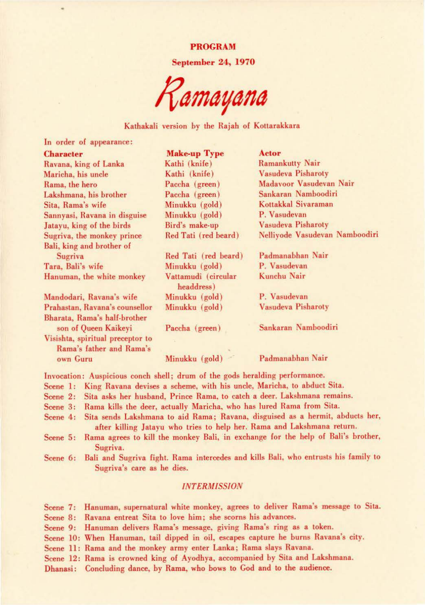PROGRAM

September 24, 1970

*/?amayana* 

## Kathakali version by the Rajah of Kotlarakkara

In order of appearance:

## **Character Make-up Type Actor**<br>
Ravana, king of Lanka **Make-up Type Actor**<br>
Kathi (knife) Ramankutty Nair Ravana, king of Lanka Kathi (knife) Ramankutty Nair Maricha, his uncle Kathi (knife) Rama, the hero Paccha (green) Maduvoor Vasudevan Nair Lakshmana, his brother Paccha (green) Sita, Rama's wife **Minukku** (gold) Kottakkal Sivaraman Sannyasi, Ravana in disguise Minukku (gold) P. Vasudevan Jatayu, king of the birds Bird's make-up Vasudeva Pisharoty Sugriva, the monkey prince Red Tati (red beard) Nelliyode Vasudevan Namboodiri Bali, king and brother of Sugriva Red Tati (red beard) Padmanabhan Nair Tara, Bali's wife Minukku (gold) P. Vasudevan Hanuman, the white monkey Vattamudi (circular Kunchu Nair headdress) Mandodari, Ravana's wife Minukku (gold) P. Vasudevan Prahastan, Ravana's counsellor Minukku (gold) Vasudeva Pisharoty Bharata, Rama's half-brother son of Queen Kaikeyi Paccha (green) Sankaran Namboodiri Visishta, spiritual preceptor to Rama's father and Rama's

own Guru Minukku (gold) Padmanabhan Nair

Invocation: Auspicious conch shell; drum of the gods heralding performance.

- Scene 1: King Ravana devises a scheme. with his uncle, Maricha, to abduct Sita.
- Scene 2: Sita asks her husband, Prince Rama, to catch a deer. Lakshmana remains.
- Scene 3: Rama kills the deer, actually Maricha, who has lured Rama from Sita.
- Scene 4: Sita sends Lakshmana to aid Rama; Ravana, disguised as a hermit, abducts her, after killing Jatayu who tries to help her. Rama and Lakshmana return.
- Scene 5: Rama agrees to kill the monkey Bali, in exchange for the help of Bali's brother, Sugriva.
- Scene 6: Bali and Sugriva fight. Rama intercedes and kills Bali, who entrusts his family to Sugriva's care as he dies.

#### *INTERMISSION*

Scene 7: Hanuman, supernatural white monkey, agrees to deliver Rama's message to Sita. Scene 8: Ravana entreat Sita to love him; she scorns his advances.

Scene 9: Hanuman delivers Rama's message, giving Rama's ring as a token.

Scene 10: When Hanuman, tail dipped in oil, escapes capture he burns Ravana's city.

Scene 11: Rama and the monkey army enter Lanka; Rama slays Ravana.

Scene 12: Rama is crowned king of Ayodhya, accompanied by Sita and Lakshmana.

Dhanasi: Concluding dance, by Rama, who bows to God and to the audience.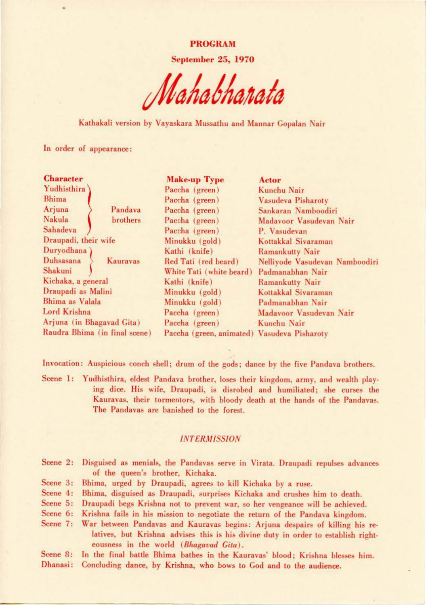PROGRAM

September 25, 1970

Kathakali version by Vayaskara Mussathu and Mannar Gopalan Nair

In order of appearance:

| <b>Character</b>              | <b>Make-up Type</b>                         | Actor                          |
|-------------------------------|---------------------------------------------|--------------------------------|
| Yudhisthira                   | Paccha (green)                              | Kunchu Nair                    |
| <b>Bhima</b>                  | Paccha (green)                              | Vasudeva Pisharoty             |
| Arjuna<br>Pandava             | Paccha (green)                              | Sankaran Namboodiri            |
| Nakula<br>brothers            | Paccha (green)                              | Madavoor Vasudevan Nair        |
| Sahadeva                      | Paccha (green)                              | P. Vasudevan                   |
| Draupadi, their wife          | Minukku (gold)                              | Kottakkal Sivaraman            |
| Duryodhana)                   | Kathi (knife)                               | <b>Ramankutty Nair</b>         |
| Duhsasana<br>Kaurayas         | Red Tati (red beard)                        | Nelliyode Vasudevan Namboodiri |
| Shakuni                       | White Tati (white beard)                    | Padmanabhan Nair               |
| Kichaka, a general            | Kathi (knife)                               | Ramankutty Nair                |
| Draupadi as Malini            | Minukku (gold)                              | Kottakkal Sivaraman            |
| Bhima as Valala               | Minukku (gold)                              | Padmanabhan Nair               |
| Lord Krishna                  | Paccha (green)                              | Madavoor Vasudevan Nair        |
| Arjuna (in Bhagavad Gita)     | Paccha (green)                              | Kunchu Nair                    |
| Raudra Bhima (in final scene) | Paccha (green, animated) Vasudeva Pisharoty |                                |

Invocation: Auspicious conch shell; drum of the gods; dance by the five Pandava brothers.

Scene 1: Yudhisthira, eldest Pandava brother, loses their kingdom, army, and wealth playing dice. His wife, Draupadi, is disrobed and humiliated; she curses the Kauravas, their tormentors, with bloody death at the hands of the Pandavas. The Pandavas are banished to the forest.

#### *INTERMISSION*

- Scene 2: Disguised as menials, the Pandavas serve in Virata. Draupadi repulses advances of the queen's brother. Kichaka.
- Scene 3: Bhima, urged by Draupadi, agrees to kill Kichaka by a ruse.
- Scene 4: Bhima, disguised as Draupadi. surprises Kichaka and crushes him to death.
- Scene 5: Draupadi begs Krishna not to prevent war, so her vengeance will be achieved.
- Scene 6: Krishna fails in his mission to negotiate the return of the Pandava kingdom.

Scene 7: War between Pandavas and Kauravas begins: Arjuna despairs of killing his relatives, but Krishna advises this is his divine duty in order to establish righteousness in the world *(Bhagavad Gita) .* 

Scene 8: Dhanasi: Concluding dance, by Krishna, who bows to Cod and to the audience. In the final battle Bhima bathes in the Kauravas' blood; Krishna blesses him.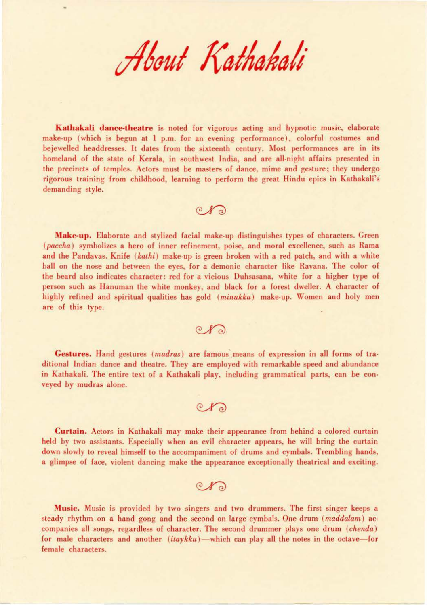About Kathakali

Kathakali dance-theatre is noted for vigorous acting and hypnotic music, elaborate make-up (which is begun at  $1$  p.m. for an evening performance), colorful costumes and bejewelled headdresses. It dates from the sixteenth century. Most performances are in its homeland of the state of Kerala, in southwest India, and are all-night affairs presented in the precincts of temples. Actors must be masters of dance, mime and gesture; they undergo rigorous training from childhood, learning to perform the great Hindu epics in Kathakali's demanding style.

 $O(X)$ 

Make-up. Elaborate and stylized facial make-up distinguishes types of characters. Green (*paccha*) symbolizes a hero of inner refinement, poise, and moral excellence, such as Rama and the Pandavas. Knife *(kathi)* make-up is green broken with a red patch, and with a white ball on the nose and between the eyes, for a demonic character like Ravana. The color of the beard also indicates character: red for a vicious Duhsasana, white for a higher type of person such as Hanuman the white monkey, and black for a forest dweller. A character of highly refined and spiritual qualities has gold ( *minukku)* make-up. Women and holy men are of this type.

 $O(X)$ 

Gestures. Hand gestures (*mudras*) are famous means of expression in all forms of traditional Indian dance and theatre. They are employed with remarkable speed and abundance in Kathakali. The entire text of a Kathakali play, including grammatical parts, can be con· veyed by mudras alone.

 $\mathbb{C}$ 

Curtain. Actors in Kathakali may make their appearance from behind a colored curtain held by two assistants. Especially when an evil character appears, he will bring the curtain down slowly to reveal himself to the accompaniment of drums and cymbals. Trembling hands, a glimpse of face, violent dancing make the appearance exceptionally theatrical and exciting.

 $\circledcirc$ 

Music . Music is provided by two singers and two drummers. The first singer keeps a steady rhythm on a hand gong and the second on large cymbals. One drum *(maddalam)* ac· companies all songs, regardless of character. The second drummer plays one drum *(chenda)* for male characters and another *(itaykku)*—which can play all the notes in the octave—for female characters.